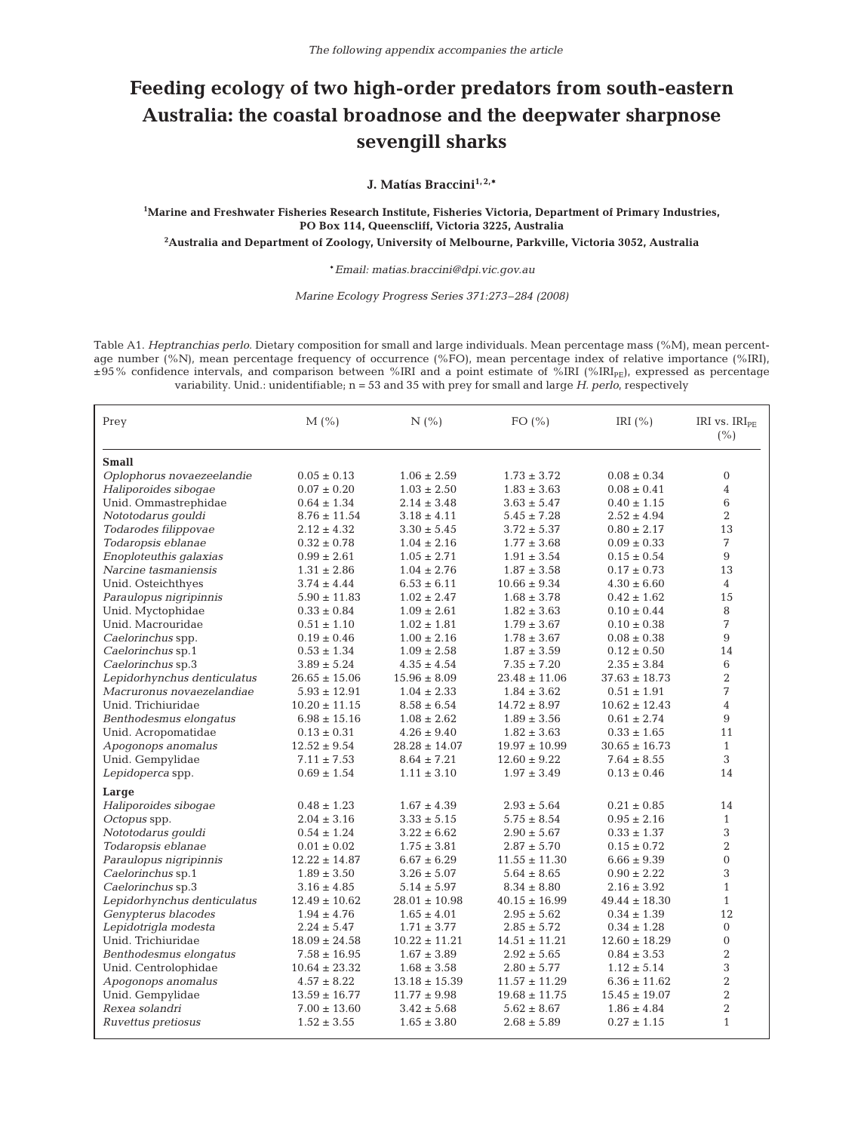## **Feeding ecology of two high-order predators from south-eastern Australia: the coastal broadnose and the deepwater sharpnose sevengill sharks**

**J. Matías Braccini1, 2,\***

**1 Marine and Freshwater Fisheries Research Institute, Fisheries Victoria, Department of Primary Industries, PO Box 114, Queenscliff, Victoria 3225, Australia**

**2 Australia and Department of Zoology, University of Melbourne, Parkville, Victoria 3052, Australia**

\**Email: matias.braccini@dpi.vic.gov.au*

*Marine Ecology Progress Series 371:273–284 (2008)*

Table A1. *Heptranchias perlo*. Dietary composition for small and large individuals. Mean percentage mass (%M), mean percentage number (%N), mean percentage frequency of occurrence (%FO), mean percentage index of relative importance (%IRI), ±95% confidence intervals, and comparison between %IRI and a point estimate of %IRI (%IRIPE), expressed as percentage variability. Unid.: unidentifiable; n = 53 and 35 with prey for small and large *H. perlo*, respectively

| Prey                        | $M$ (%)           | N(%               | FO $(\% )$        | IRI $(\% )$       | IRI vs. IRI <sub>PE</sub><br>(% ) |
|-----------------------------|-------------------|-------------------|-------------------|-------------------|-----------------------------------|
| <b>Small</b>                |                   |                   |                   |                   |                                   |
| Oplophorus novaezeelandie   | $0.05 \pm 0.13$   | $1.06 \pm 2.59$   | $1.73 \pm 3.72$   | $0.08 \pm 0.34$   | $\mathbf{0}$                      |
| Haliporoides sibogae        | $0.07 \pm 0.20$   | $1.03 \pm 2.50$   | $1.83 \pm 3.63$   | $0.08 \pm 0.41$   | $\overline{4}$                    |
| Unid. Ommastrephidae        | $0.64 \pm 1.34$   | $2.14 \pm 3.48$   | $3.63 \pm 5.47$   | $0.40 \pm 1.15$   | 6                                 |
| Nototodarus qouldi          | $8.76 \pm 11.54$  | $3.18 \pm 4.11$   | $5.45 \pm 7.28$   | $2.52 \pm 4.94$   | $\overline{2}$                    |
| Todarodes filippovae        | $2.12 \pm 4.32$   | $3.30 \pm 5.45$   | $3.72 \pm 5.37$   | $0.80 \pm 2.17$   | 13                                |
| Todaropsis eblanae          | $0.32 \pm 0.78$   | $1.04 \pm 2.16$   | $1.77 \pm 3.68$   | $0.09 \pm 0.33$   | 7                                 |
| Enoploteuthis galaxias      | $0.99 \pm 2.61$   | $1.05 \pm 2.71$   | $1.91 \pm 3.54$   | $0.15 \pm 0.54$   | 9                                 |
| Narcine tasmaniensis        | $1.31 \pm 2.86$   | $1.04 \pm 2.76$   | $1.87 \pm 3.58$   | $0.17 \pm 0.73$   | 13                                |
| Unid. Osteichthyes          | $3.74 \pm 4.44$   | $6.53 \pm 6.11$   | $10.66 \pm 9.34$  | $4.30 \pm 6.60$   | $\overline{4}$                    |
| Paraulopus nigripinnis      | $5.90 \pm 11.83$  | $1.02 \pm 2.47$   | $1.68 \pm 3.78$   | $0.42 \pm 1.62$   | 15                                |
| Unid. Myctophidae           | $0.33 \pm 0.84$   | $1.09 \pm 2.61$   | $1.82 \pm 3.63$   | $0.10 \pm 0.44$   | 8                                 |
| Unid. Macrouridae           | $0.51 \pm 1.10$   | $1.02 \pm 1.81$   | $1.79 \pm 3.67$   | $0.10 \pm 0.38$   | 7                                 |
| Caelorinchus spp.           | $0.19 \pm 0.46$   | $1.00 \pm 2.16$   | $1.78 \pm 3.67$   | $0.08 \pm 0.38$   | $\overline{9}$                    |
| Caelorinchus sp.1           | $0.53 \pm 1.34$   | $1.09 \pm 2.58$   | $1.87 \pm 3.59$   | $0.12 \pm 0.50$   | 14                                |
| Caelorinchus sp.3           | $3.89 \pm 5.24$   | $4.35 \pm 4.54$   | $7.35 \pm 7.20$   | $2.35 \pm 3.84$   | 6                                 |
| Lepidorhynchus denticulatus | $26.65 \pm 15.06$ | $15.96 \pm 8.09$  | $23.48 \pm 11.06$ | $37.63 \pm 18.73$ | $\overline{2}$                    |
| Macruronus novaezelandiae   | $5.93 \pm 12.91$  | $1.04 \pm 2.33$   | $1.84 \pm 3.62$   | $0.51 \pm 1.91$   | 7                                 |
| Unid. Trichiuridae          | $10.20 \pm 11.15$ | $8.58 \pm 6.54$   | $14.72 \pm 8.97$  | $10.62 \pm 12.43$ | 4                                 |
| Benthodesmus elongatus      | $6.98 \pm 15.16$  | $1.08 \pm 2.62$   | $1.89 \pm 3.56$   | $0.61 \pm 2.74$   | 9                                 |
| Unid. Acropomatidae         | $0.13 \pm 0.31$   | $4.26 \pm 9.40$   | $1.82 \pm 3.63$   | $0.33 \pm 1.65$   | 11                                |
| Apogonops anomalus          | $12.52 \pm 9.54$  | $28.28 \pm 14.07$ | $19.97 \pm 10.99$ | $30.65 \pm 16.73$ | $\mathbf{1}$                      |
| Unid. Gempylidae            | $7.11 \pm 7.53$   | $8.64 \pm 7.21$   | $12.60 \pm 9.22$  | $7.64 \pm 8.55$   | 3                                 |
| Lepidoperca spp.            | $0.69 \pm 1.54$   | $1.11 \pm 3.10$   | $1.97 \pm 3.49$   | $0.13 \pm 0.46$   | 14                                |
|                             |                   |                   |                   |                   |                                   |
| Large                       |                   |                   |                   |                   |                                   |
| Haliporoides sibogae        | $0.48 \pm 1.23$   | $1.67 \pm 4.39$   | $2.93 \pm 5.64$   | $0.21 \pm 0.85$   | 14                                |
| Octopus spp.                | $2.04 \pm 3.16$   | $3.33 \pm 5.15$   | $5.75 \pm 8.54$   | $0.95 \pm 2.16$   | $\mathbf{1}$                      |
| Nototodarus gouldi          | $0.54 \pm 1.24$   | $3.22 \pm 6.62$   | $2.90 \pm 5.67$   | $0.33 \pm 1.37$   | 3                                 |
| Todaropsis eblanae          | $0.01 \pm 0.02$   | $1.75 \pm 3.81$   | $2.87 \pm 5.70$   | $0.15 \pm 0.72$   | $\overline{2}$                    |
| Paraulopus nigripinnis      | $12.22 \pm 14.87$ | $6.67 \pm 6.29$   | $11.55 \pm 11.30$ | $6.66 \pm 9.39$   | $\mathbf{0}$                      |
| Caelorinchus sp.1           | $1.89 \pm 3.50$   | $3.26 \pm 5.07$   | $5.64 \pm 8.65$   | $0.90 \pm 2.22$   | 3                                 |
| Caelorinchus sp.3           | $3.16 \pm 4.85$   | $5.14 \pm 5.97$   | $8.34 \pm 8.80$   | $2.16 \pm 3.92$   | $\mathbf{1}$                      |
| Lepidorhynchus denticulatus | $12.49 \pm 10.62$ | $28.01 \pm 10.98$ | $40.15 \pm 16.99$ | $49.44 \pm 18.30$ | $\mathbf{1}$                      |
| Genypterus blacodes         | $1.94 \pm 4.76$   | $1.65 \pm 4.01$   | $2.95 \pm 5.62$   | $0.34 \pm 1.39$   | 12                                |
| Lepidotrigla modesta        | $2.24 \pm 5.47$   | $1.71 \pm 3.77$   | $2.85 \pm 5.72$   | $0.34 \pm 1.28$   | $\mathbf{0}$                      |
| Unid. Trichiuridae          | $18.09 \pm 24.58$ | $10.22 \pm 11.21$ | $14.51 \pm 11.21$ | $12.60 \pm 18.29$ | $\Omega$                          |
| Benthodesmus elongatus      | $7.58 \pm 16.95$  | $1.67 \pm 3.89$   | $2.92 \pm 5.65$   | $0.84 \pm 3.53$   | $\overline{2}$                    |
| Unid. Centrolophidae        | $10.64 \pm 23.32$ | $1.68 \pm 3.58$   | $2.80 \pm 5.77$   | $1.12 \pm 5.14$   | 3                                 |
| Apogonops anomalus          | $4.57 \pm 8.22$   | $13.18 \pm 15.39$ | $11.57 \pm 11.29$ | $6.36 \pm 11.62$  | $\overline{2}$                    |
| Unid. Gempylidae            | $13.59 \pm 16.77$ | $11.77 \pm 9.98$  | $19.68 \pm 11.75$ | $15.45 \pm 19.07$ | $\overline{2}$                    |
| Rexea solandri              | $7.00 \pm 13.60$  | $3.42 \pm 5.68$   | $5.62 \pm 8.67$   | $1.86 \pm 4.84$   | $\overline{2}$                    |
| Ruvettus pretiosus          | $1.52 \pm 3.55$   | $1.65 \pm 3.80$   | $2.68 \pm 5.89$   | $0.27 \pm 1.15$   | $\mathbf{1}$                      |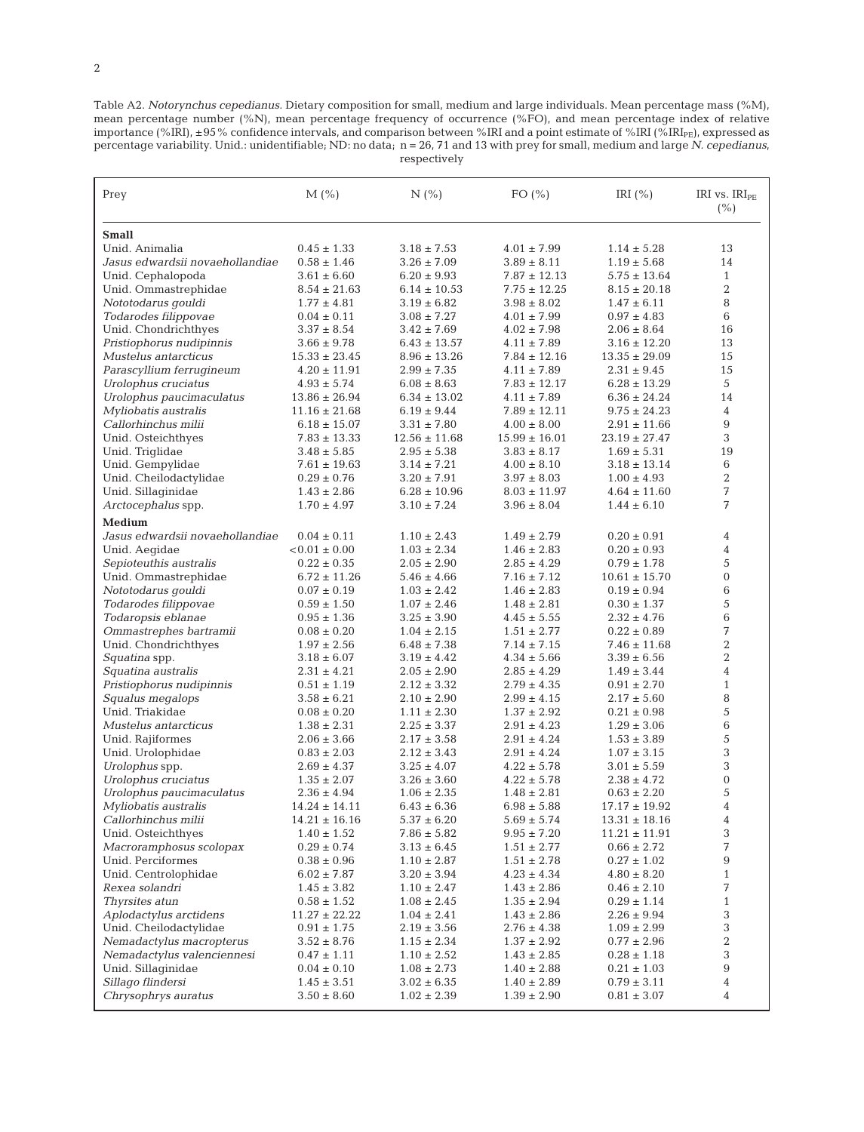2

Table A2. *Notorynchus cepedianus*. Dietary composition for small, medium and large individuals. Mean percentage mass (%M), mean percentage number (%N), mean percentage frequency of occurrence (%FO), and mean percentage index of relative importance (%IRI), ±95% confidence intervals, and comparison between %IRI and a point estimate of %IRI (%IRI<sub>PE</sub>), expressed as percentage variability. Unid.: unidentifiable; ND: no data; n = 26, 71 and 13 with prey for small, medium and large *N. cepedianus*, respectively

| Prey                            | $M$ (%)           | N(%               | FO $(\% )$        | IRI $(\% )$       | IRI vs. IRI <sub>PE</sub><br>(% ) |
|---------------------------------|-------------------|-------------------|-------------------|-------------------|-----------------------------------|
| <b>Small</b>                    |                   |                   |                   |                   |                                   |
| Unid. Animalia                  | $0.45 \pm 1.33$   | $3.18 \pm 7.53$   | $4.01 \pm 7.99$   | $1.14 \pm 5.28$   | 13                                |
| Jasus edwardsii novaehollandiae | $0.58 \pm 1.46$   | $3.26 \pm 7.09$   | $3.89 \pm 8.11$   | $1.19 \pm 5.68$   | 14                                |
| Unid. Cephalopoda               | $3.61 \pm 6.60$   | $6.20 \pm 9.93$   | $7.87 \pm 12.13$  | $5.75 \pm 13.64$  | $\mathbf{1}$                      |
| Unid. Ommastrephidae            | $8.54 \pm 21.63$  | $6.14 \pm 10.53$  | $7.75 \pm 12.25$  | $8.15 \pm 20.18$  | $\overline{2}$                    |
| Nototodarus gouldi              | $1.77 \pm 4.81$   | $3.19 \pm 6.82$   | $3.98 \pm 8.02$   | $1.47 \pm 6.11$   | 8                                 |
| Todarodes filippovae            | $0.04 \pm 0.11$   | $3.08 \pm 7.27$   | $4.01 \pm 7.99$   | $0.97 \pm 4.83$   | 6                                 |
| Unid. Chondrichthyes            | $3.37 \pm 8.54$   | $3.42 \pm 7.69$   | $4.02 \pm 7.98$   | $2.06 \pm 8.64$   | 16                                |
| Pristiophorus nudipinnis        | $3.66 \pm 9.78$   | $6.43 \pm 13.57$  | $4.11 \pm 7.89$   | $3.16 \pm 12.20$  | 13                                |
| Mustelus antarcticus            | $15.33 \pm 23.45$ | $8.96 \pm 13.26$  | $7.84 \pm 12.16$  | $13.35 \pm 29.09$ | 15                                |
| Parascyllium ferrugineum        | $4.20 \pm 11.91$  | $2.99 \pm 7.35$   | $4.11 \pm 7.89$   | $2.31 \pm 9.45$   | 15                                |
| Urolophus cruciatus             | $4.93 \pm 5.74$   | $6.08 \pm 8.63$   | $7.83 \pm 12.17$  | $6.28 \pm 13.29$  | 5                                 |
| Urolophus paucimaculatus        | $13.86 \pm 26.94$ | $6.34 \pm 13.02$  | $4.11 \pm 7.89$   | $6.36 \pm 24.24$  | 14                                |
| Myliobatis australis            | $11.16 \pm 21.68$ | $6.19 \pm 9.44$   | $7.89 \pm 12.11$  | $9.75 \pm 24.23$  | $\overline{4}$                    |
| Callorhinchus milii             | $6.18 \pm 15.07$  | $3.31 \pm 7.80$   | $4.00 \pm 8.00$   | $2.91 \pm 11.66$  | 9                                 |
| Unid. Osteichthyes              | $7.83 \pm 13.33$  | $12.56 \pm 11.68$ | $15.99 \pm 16.01$ | $23.19 \pm 27.47$ | 3                                 |
| Unid. Triglidae                 | $3.48 \pm 5.85$   | $2.95 \pm 5.38$   | $3.83 \pm 8.17$   | $1.69 \pm 5.31$   | 19                                |
| Unid. Gempylidae                | $7.61 \pm 19.63$  | $3.14 \pm 7.21$   | $4.00 \pm 8.10$   | $3.18 \pm 13.14$  | 6                                 |
| Unid. Cheilodactylidae          | $0.29 \pm 0.76$   | $3.20 \pm 7.91$   | $3.97 \pm 8.03$   | $1.00 \pm 4.93$   | $\overline{2}$                    |
| Unid. Sillaginidae              | $1.43 \pm 2.86$   | $6.28 \pm 10.96$  | $8.03 \pm 11.97$  | $4.64 \pm 11.60$  | 7                                 |
| Arctocephalus spp.              | $1.70 \pm 4.97$   | $3.10 \pm 7.24$   | $3.96 \pm 8.04$   | $1.44 \pm 6.10$   | 7                                 |
| Medium                          |                   |                   |                   |                   |                                   |
| Jasus edwardsii novaehollandiae | $0.04 \pm 0.11$   | $1.10 \pm 2.43$   | $1.49 \pm 2.79$   | $0.20 \pm 0.91$   | 4                                 |
| Unid. Aegidae                   | $< 0.01 \pm 0.00$ | $1.03 \pm 2.34$   | $1.46 \pm 2.83$   | $0.20 \pm 0.93$   | $\overline{4}$                    |
| Sepioteuthis australis          | $0.22 \pm 0.35$   | $2.05 \pm 2.90$   | $2.85 \pm 4.29$   | $0.79 \pm 1.78$   | 5                                 |
| Unid. Ommastrephidae            | $6.72 \pm 11.26$  | $5.46 \pm 4.66$   | $7.16 \pm 7.12$   | $10.61 \pm 15.70$ | $\boldsymbol{0}$                  |
| Nototodarus gouldi              | $0.07 \pm 0.19$   | $1.03 \pm 2.42$   | $1.46 \pm 2.83$   | $0.19 \pm 0.94$   | 6                                 |
| Todarodes filippovae            | $0.59 \pm 1.50$   | $1.07 \pm 2.46$   | $1.48 \pm 2.81$   | $0.30 \pm 1.37$   | 5                                 |
| Todaropsis eblanae              | $0.95 \pm 1.36$   | $3.25 \pm 3.90$   | $4.45 \pm 5.55$   | $2.32 \pm 4.76$   | 6                                 |
| Ommastrephes bartramii          | $0.08 \pm 0.20$   | $1.04 \pm 2.15$   | $1.51 \pm 2.77$   | $0.22 \pm 0.89$   | 7                                 |
| Unid. Chondrichthyes            | $1.97 \pm 2.56$   | $6.48 \pm 7.38$   | $7.14 \pm 7.15$   | $7.46 \pm 11.68$  | $\overline{2}$                    |
| Squatina spp.                   | $3.18 \pm 6.07$   | $3.19 \pm 4.42$   | $4.34 \pm 5.66$   | $3.39 \pm 6.56$   | $\overline{2}$                    |
| Squatina australis              | $2.31 \pm 4.21$   | $2.05 \pm 2.90$   | $2.85 \pm 4.29$   | $1.49 \pm 3.44$   | $\overline{4}$                    |
| Pristiophorus nudipinnis        | $0.51 \pm 1.19$   | $2.12 \pm 3.32$   | $2.79 \pm 4.35$   | $0.91 \pm 2.70$   | $\mathbf{1}$                      |
| Squalus megalops                | $3.58 \pm 6.21$   | $2.10 \pm 2.90$   | $2.99 \pm 4.15$   | $2.17 \pm 5.60$   | 8                                 |
| Unid. Triakidae                 | $0.08 \pm 0.20$   | $1.11 \pm 2.30$   | $1.37 \pm 2.92$   | $0.21 \pm 0.98$   | 5                                 |
| Mustelus antarcticus            | $1.38 \pm 2.31$   | $2.25 \pm 3.37$   | $2.91 \pm 4.23$   | $1.29 \pm 3.06$   | 6                                 |
| Unid. Rajiformes                | $2.06 \pm 3.66$   | $2.17 \pm 3.58$   | $2.91 \pm 4.24$   | $1.53 \pm 3.89$   | 5                                 |
| Unid. Urolophidae               | $0.83 \pm 2.03$   | $2.12 \pm 3.43$   | $2.91 \pm 4.24$   | $1.07 \pm 3.15$   | 3                                 |
| Urolophus spp.                  | $2.69 \pm 4.37$   | $3.25 \pm 4.07$   | $4.22 \pm 5.78$   | $3.01 \pm 5.59$   | 3                                 |
| Urolophus cruciatus             | $1.35 \pm 2.07$   | $3.26 \pm 3.60$   | $4.22 \pm 5.78$   | $2.38 \pm 4.72$   | $\boldsymbol{0}$                  |
| Urolophus paucimaculatus        | $2.36 \pm 4.94$   | $1.06 \pm 2.35$   | $1.48 \pm 2.81$   | $0.63 \pm 2.20$   | 5                                 |
| Myliobatis australis            | $14.24 \pm 14.11$ | $6.43 \pm 6.36$   | $6.98 \pm 5.88$   | $17.17 \pm 19.92$ | $\overline{4}$                    |
| Callorhinchus milii             | $14.21 \pm 16.16$ | $5.37 \pm 6.20$   | $5.69 \pm 5.74$   | $13.31 \pm 18.16$ | $\overline{4}$                    |
| Unid. Osteichthyes              | $1.40 \pm 1.52$   | $7.86 \pm 5.82$   | $9.95\pm7.20$     | $11.21 \pm 11.91$ | 3                                 |
| Macroramphosus scolopax         | $0.29 \pm 0.74$   | $3.13 \pm 6.45$   | $1.51 \pm 2.77$   | $0.66 \pm 2.72$   | 7                                 |
| Unid. Perciformes               | $0.38 \pm 0.96$   | $1.10 \pm 2.87$   | $1.51 \pm 2.78$   | $0.27 \pm 1.02$   | 9                                 |
| Unid. Centrolophidae            | $6.02 \pm 7.87$   | $3.20\pm3.94$     | $4.23 \pm 4.34$   | $4.80 \pm 8.20$   | $\mathbf{1}$                      |
| Rexea solandri                  | $1.45 \pm 3.82$   | $1.10 \pm 2.47$   | $1.43 \pm 2.86$   | $0.46 \pm 2.10$   | 7                                 |
| Thyrsites atun                  | $0.58 \pm 1.52$   | $1.08 \pm 2.45$   | $1.35 \pm 2.94$   | $0.29 \pm 1.14$   | $\mathbf{1}$                      |
| Aplodactylus arctidens          | $11.27 \pm 22.22$ | $1.04 \pm 2.41$   | $1.43 \pm 2.86$   | $2.26 \pm 9.94$   | 3                                 |
| Unid. Cheilodactylidae          | $0.91 \pm 1.75$   | $2.19 \pm 3.56$   | $2.76 \pm 4.38$   | $1.09 \pm 2.99$   | 3                                 |
| Nemadactylus macropterus        | $3.52 \pm 8.76$   | $1.15 \pm 2.34$   | $1.37 \pm 2.92$   | $0.77 \pm 2.96$   | $\,2$                             |
| Nemadactylus valenciennesi      | $0.47 \pm 1.11$   | $1.10 \pm 2.52$   | $1.43 \pm 2.85$   | $0.28 \pm 1.18$   | 3                                 |
| Unid. Sillaginidae              | $0.04 \pm 0.10$   | $1.08 \pm 2.73$   | $1.40 \pm 2.88$   | $0.21 \pm 1.03$   | 9                                 |
| Sillago flindersi               | $1.45 \pm 3.51$   | $3.02 \pm 6.35$   | $1.40 \pm 2.89$   | $0.79 \pm 3.11$   | 4                                 |
| Chrysophrys auratus             | $3.50 \pm 8.60$   | $1.02 \pm 2.39$   | $1.39 \pm 2.90$   | $0.81 \pm 3.07$   | 4                                 |